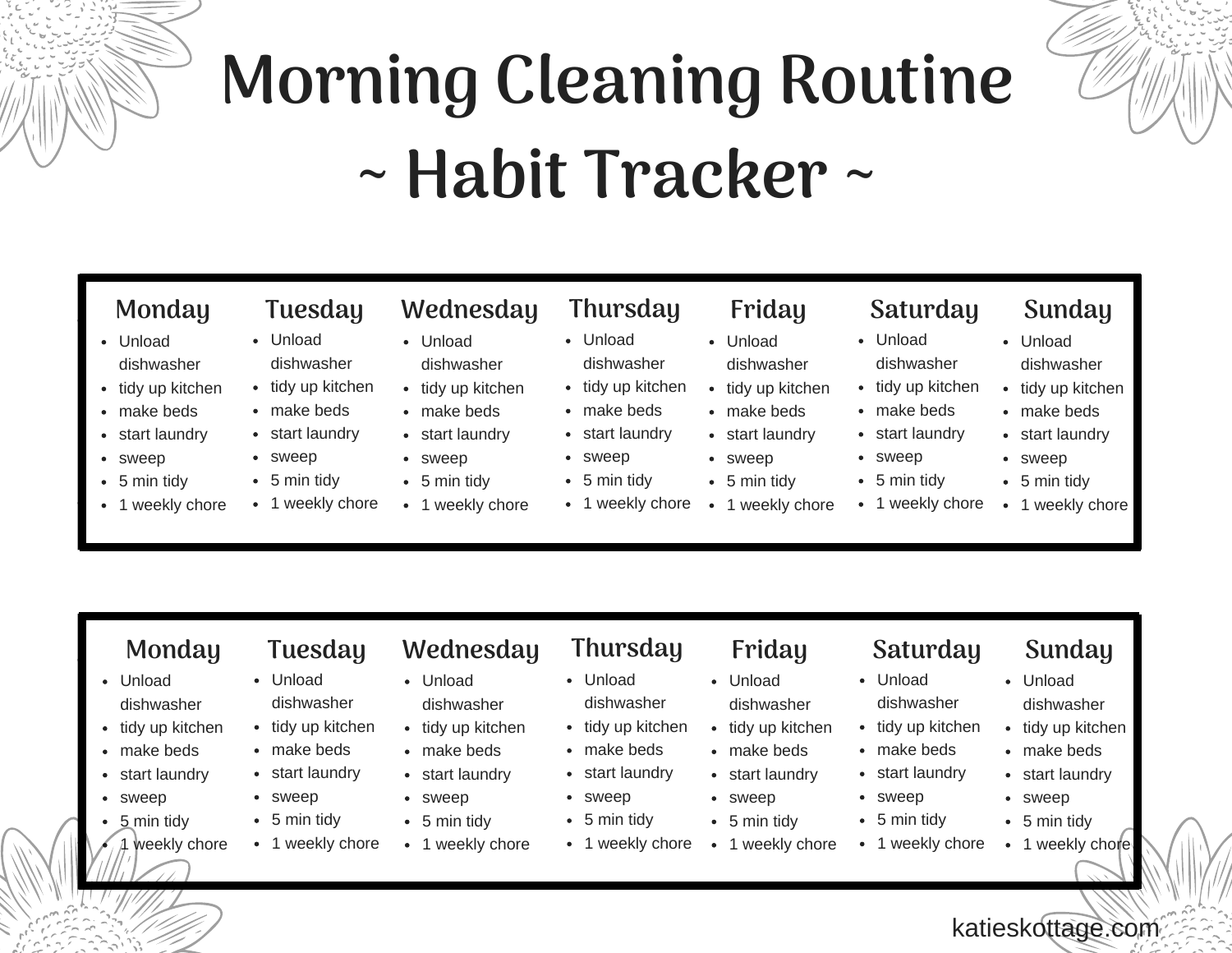# **Morning Cleaning Routine ~ Habit Tracker ~**



## **Monday Tuesday Wednesday Thursday Friday Saturday Sunday**

- Unload dishwasher
- tidy up kitchen
- make beds
- start laundry
- sweep
- 5 min tidy
- 1 weekly chore
- Unload dishwasher
- tidy up kitchen
- make beds
- start laundry
- sweep
- 5 min tidy
- 1 weekly chore
- Unload dishwasher • tidy up kitchen
- make beds
- start laundry
- 
- 
- 
- 
- sweep
- 5 min tidy
- 1 weekly chore
- Unload dishwasher
- tidy up kitchen
- make beds
- start laundry
- sweep • 5 min tidy
- 1 weekly chore
- 
- Unload dishwasher
- $\bullet$  tidy up kitchen
- make beds
- start laundry sweep
- 5 min tidy
- 1 weekly chore
- 
- Unload dishwasher
- tidy up kitchen
	- make beds
	- start laundry
		- sweep
		-
- 5 min tidy
- 1 weekly chore

- Unload dishwasher
- tidy up kitchen
- make beds
- start laundry
- sweep

Unload

sweep • 5 min tidy • 1 weekly chore

katieskottage.com

dishwasher  $\bullet$  tidy up kitchen

- 5 min tidy
- 1 weekly chore

- 
- Unload dishwasher
- tidy up kitchen
- make beds
- start laundry
- sweep
- $-5$  min tidy
- 1 weekly chore
- Unload dishwasher
- tidy up kitchen
- make beds
- start laundry
- sweep
- 5 min tidy
- 1 weekly chore
- **Monday Tuesday Wednesday Thursday Friday Saturday Sunday**
	- Unload dishwasher
	- $\bullet$  tidy up kitchen
		- make beds
		- start laundry
	- sweep
	- 5 min tidy
		- 1 weekly chore

• tidy up kitchen • make beds

• sweep  $\bullet$  5 min tidy • 1 weekly chore

### Unload dishwasher

- Unload dishwasher
	- tidy up kitchen
	- make beds
- start laundry start laundry
	- sweep  $\bullet$ 5 min tidy  $\bullet$ 
		- 1 weekly chore

- Unload dishwasher
- $\bullet$  tidy up kitchen
- make beds
- start laundry
	- sweep
- 
- 1 weekly chore
- make beds • start laundry

 $\bullet$ 

- 
- $\cdot$  5 min tidy